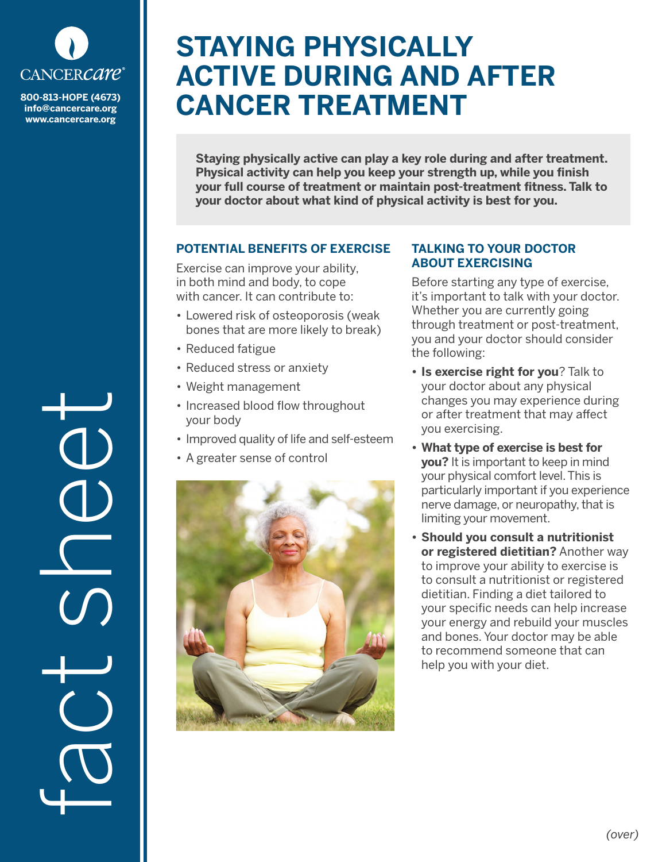

**info@cancercare.org www.cancercare.org**

fact see

# **STAYING PHYSICALLY ACTIVE DURING AND AFTER CANCER TREATMENT**

**Staying physically active can play a key role during and after treatment. Physical activity can help you keep your strength up, while you finish your full course of treatment or maintain post-treatment fitness. Talk to your doctor about what kind of physical activity is best for you.** 

## **POTENTIAL BENEFITS OF EXERCISE**

Exercise can improve your ability, in both mind and body, to cope with cancer. It can contribute to:

- Lowered risk of osteoporosis (weak bones that are more likely to break)
- Reduced fatigue
- Reduced stress or anxiety
- Weight management
- Increased blood flow throughout your body
- Improved quality of life and self-esteem
- A greater sense of control



#### **TALKING TO YOUR DOCTOR ABOUT EXERCISING**

Before starting any type of exercise, it's important to talk with your doctor. Whether you are currently going through treatment or post-treatment, you and your doctor should consider the following:

- **• Is exercise right for you**? Talk to your doctor about any physical changes you may experience during or after treatment that may affect you exercising.
- **• What type of exercise is best for you?** It is important to keep in mind your physical comfort level. This is particularly important if you experience nerve damage, or neuropathy, that is limiting your movement.
- **• Should you consult a nutritionist or registered dietitian?** Another way to improve your ability to exercise is to consult a nutritionist or registered dietitian. Finding a diet tailored to your specific needs can help increase your energy and rebuild your muscles and bones. Your doctor may be able to recommend someone that can help you with your diet.